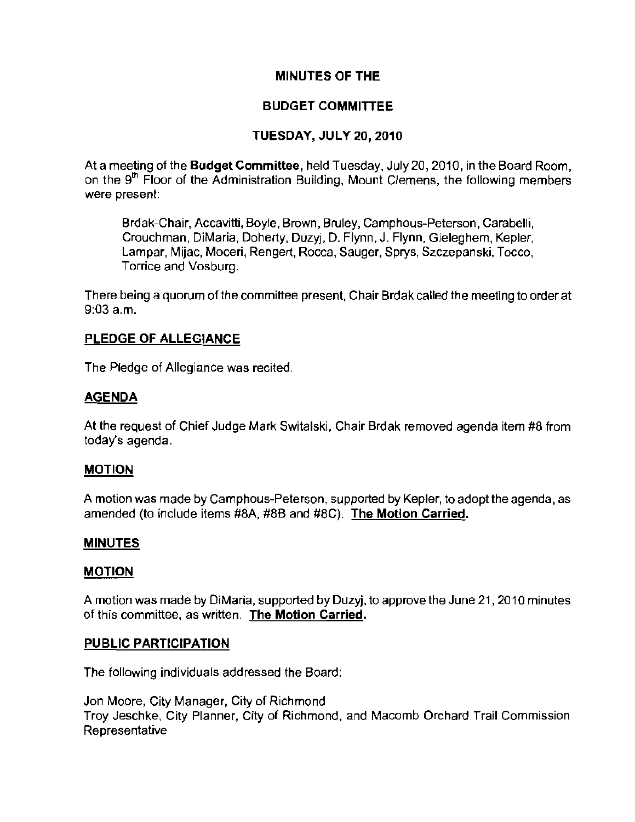# MINUTES OF THE

# BUDGET COMMITTEE

# TUESDAY, JULY 20,2010

At a meeting of the Budget Committee, held Tuesday, July *20,2010,* in the Board Room, on the  $9<sup>th</sup>$  Floor of the Administration Building, Mount Clemens, the following members **were present:** 

Brdak-Chair, Accavitti, Boyle, Brown, Bruley, Camphous-Peterson, Carabelli, Crouchman, DiMaria, Doherty, Duzyj, D. Flynn, J. Flynn. Gieleghem, Kepler, Lampar, Mijac, Moceri, Rengert, Rocca, Sauger, Sprys, Szczepanski, Tocco, Torrice and Vosburg.

There being a quorum of the committee present, Chair Brdak called the meeting to order at 9:03 a.m.

### PLEDGE OF ALLEGIANCE

The Pledge of Allegiance was recited.

# AGENDA

At the request of Chief Judge Mark SWitalski, Chair Brdak removed agenda item #8 from today's agenda.

# MOTION

A motion was made by Camphous-Peterson, supported by Kepler, to adopt the agenda, as amended (to include items #8A, #8B and #8C). The Motion Carried.

# MINUTES

# MOTION

A motion was made by DiMaria, supported by Duzyj, to approve the June *21,2010* minutes **of this committee, as written. The Motion Carried.** 

# PUBLIC PARTICIPATION

The following individuals addressed the Board:

Jon Moore, City Manager, City of Richmond Troy Jeschke, City Planner, City of Richmond, and Macomb Orchard Trail Commission **Representative**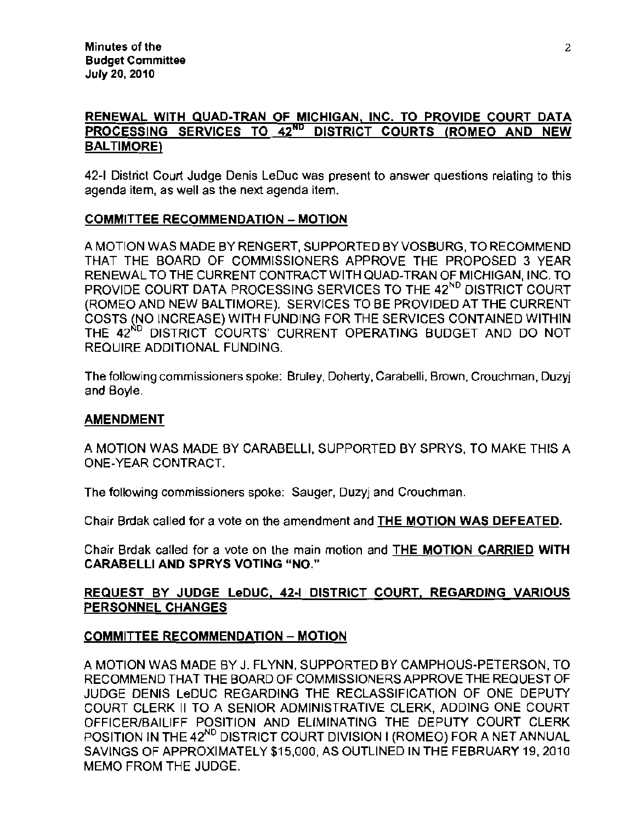# RENEWAL WITH QUAD-TRAN OF MICHIGAN, INC. TO PROVIDE COURT DATA PROCESSING SERVICES TO 42<sup>ND</sup> DISTRICT COURTS (ROMEO AND NEW BALTIMORE)

42-1 District Court Judge Denis LeDuc was present to answer questions relating to this agenda item, as well as the next agenda item.

# COMMITTEE RECOMMENDATION - MOTION

A MOTION WAS MADE BY RENGERT, SUPPORTED BYVOSBURG, TO RECOMMEND THAT THE BOARD OF COMMISSIONERS APPROVE THE PROPOSED 3 YEAR RENEWAL TO THE CURRENT CONTRACT WITH QUAD-TRAN OF MICHIGAN, INC. TO PROVIDE COURT DATA PROCESSING SERVICES TO THE 42<sup>ND</sup> DISTRICT COURT (ROMEO AND NEW BALTIMORE). SERVICES TO BE PROVIDED AT THE CURRENT COSTS (NO INCREASE) WITH FUNDING FOR THE SERVICES CONTAINED WITHIN THE 42<sup>ND</sup> DISTRICT COURTS' CURRENT OPERATING BUDGET AND DO NOT REQUIRE ADDITIONAL FUNDING.

The following commissioners spoke: Bruley, Doherty, Carabelli, Brown, Crouchman, Duzyj and Boyle.

#### AMENDMENT

A MOTION WAS MADE BY CARABELLI, SUPPORTED BY SPRYS, TO MAKE THIS A ONE-YEAR CONTRACT.

**The following commissioners spoke: Sauger, Duzyj and Crouchman.** 

Chair Brdak called for a vote on the amendment and THE MOTION WAS DEFEATED.

Chair Brdak called for a vote on the main motion and **THE MOTION CARRIED WITH** CARABELLI AND SPRYS VOTING "NO."

# REQUEST BY JUDGE LeDUC, 42-1 DISTRICT COURT, REGARDING VARIOUS PERSONNEL CHANGES

# COMMITTEE RECOMMENDATION - MOTION

A MOTION WAS MADE BY J. FLYNN, SUPPORTED BY CAMPHOUS-PETERSON, TO RECOMMEND THAT THE BOARD OF COMMISSIONERS APPROVE THE REQUEST OF JUDGE DENIS LeDUC REGARDING THE RECLASSIFICATION OF ONE DEPUTY COURT CLERK II TO A SENIOR ADMINISTRATIVE CLERK, ADDING ONE COURT OFFICER/BAILIFF POSITION AND ELIMINATING THE DEPUTY COURT CLERK POSITION IN THE 42<sup>ND</sup> DISTRICT COURT DIVISION I (ROMEO) FOR A NET ANNUAL SAVINGS OF APPROXIMATELY \$15,000, AS OUTLINED IN THE FEBRUARY 19, 2010 MEMO FROM THE JUDGE.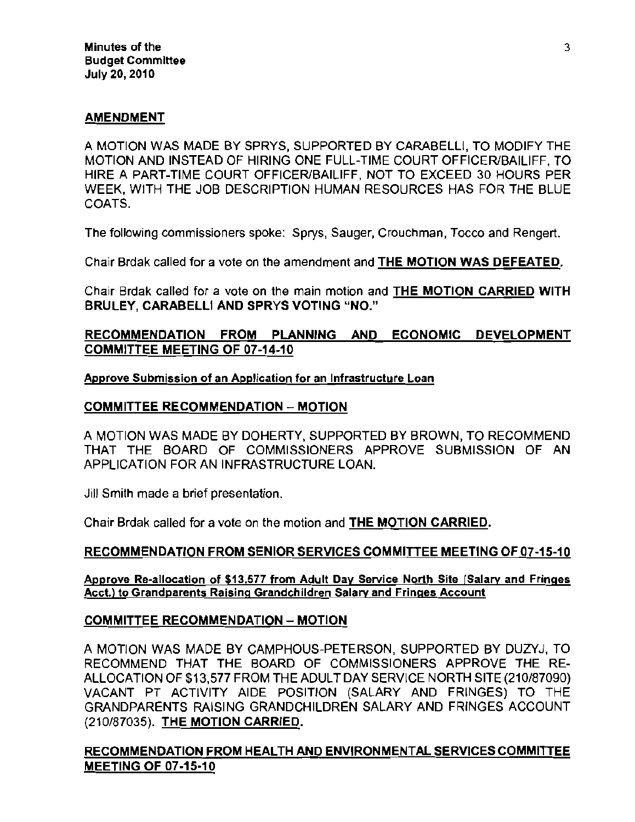#### AMENDMENT

A MOTION WAS MADE BY SPRYS, SUPPORTED BY CARABELLI, TO MODIFY THE MOTION AND INSTEAD OF HIRING ONE FULL-TIME COURT OFFICER/BAILIFF, TO HIRE A PART-TIME COURT OFFICER/BAILIFF, NOT TO EXCEED 30 HOURS PER WEEK, WITH THE JOB DESCRIPTION HUMAN RESOURCES HAS FOR THE BLUE COATS.

The following commissioners spoke: Sprys, Sauger, Crouchman, Tocco and Rengert.

Chair Brdak called for a Yote on the amendment and THE MOTION WAS DEFEATED.

Chair Brdak called for a vote on the main motion and THE MOTION CARRIED WITH BRULEY, CARABELLI AND SPRYS VOTING "NO."

# RECOMMENDATION FROM PLANNING AND ECONOMIC DEVELOPMENT COMMITTEE MEETING OF 07·14·10

#### **Approve Submission of an Application for an Infrastructure Loan**

# COMMITTEE RECOMMENDATION - MOTION

A MOTION WAS MADE BY DOHERTY, SUPPORTED BY BROWN, TO RECOMMEND THAT THE BOARD OF COMMISSIONERS APPROVE SUBMISSION OF AN APPLICATION FOR AN INFRASTRUCTURE LOAN.

Jill Smith made a brief presentation.

Chair Brdak called for a Yote on the motion and THE MOTION CARRIED.

#### RECOMMENDATION FROM SENIOR SERVICES COMMITTEE MEETING OF 07-15-10

#### **Approve Re-allocation of 513.577 from Adult Day Service North Site [Salary and Fringes Acct.) to Grandparents Raising Grandchildren Salary and Fringes Account**

#### COMMITTEE RECOMMENDATION - MOTION

A MOTION WAS MADE BY CAMPHOUS-PETERSON, SUPPORTED BY DUZYJ, TO RECOMMEND THAT THE BOARD OF COMMISSIONERS APPROVE THE RE-ALLOCATION OF \$13,577 FROM THE ADULT DAY SERVICE NORTH SITE (210/87090) VACANT PT ACTIVITY AIDE POSITION (SALARY AND FRINGES) TO THE GRANDPARENTS RAISING GRANDCHILDREN SALARY AND FRINGES ACCOUNT (210/87035). THE MOTION CARRIED.

# RECOMMENDATION FROM HEALTH AND ENVIRONMENTAL SERVICES COMMITTEE MEETING OF 07·15·10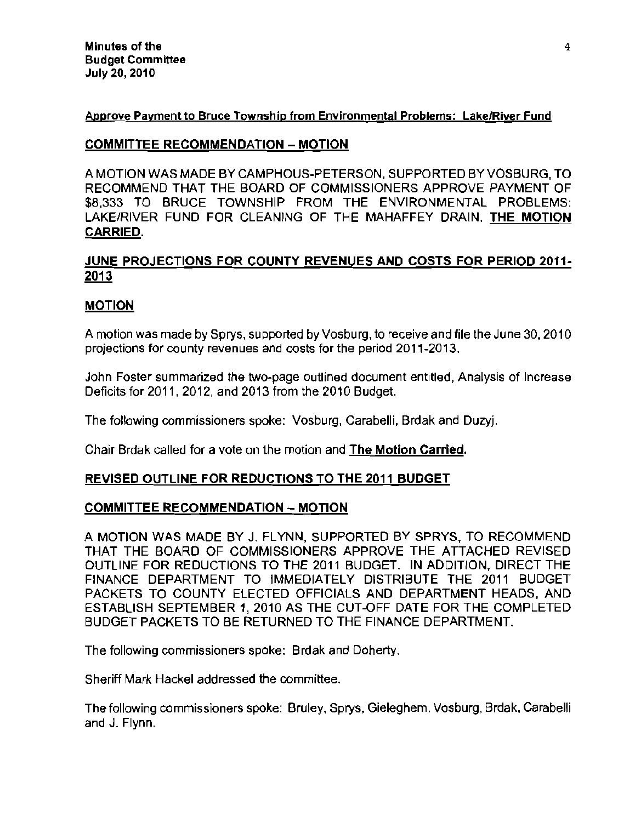### **Approve Payment to Bruce Township from Environmental Problems: Lake/River Fund**

# COMMITTEE RECOMMENDATION - MOTION

A MOTION WAS MADE BY CAMPHOUS-PETERSON, SUPPORTED BYVOSBURG, TO RECOMMEND THAT THE BOARD OF COMMISSIONERS APPROVE PAYMENT OF \$8,333 TO BRUCE TOWNSHIP FROM THE ENVIRONMENTAL PROBLEMS: LAKE/RIVER FUND FOR CLEANING OF THE MAHAFFEY DRAIN. THE MOTION CARRIED.

# JUNE PROJECTIONS FOR COUNTY REVENUES AND COSTS FOR PERIOD 2011· 2013

# MOTION

A motion was made by Sprys, supported by Vosburg, to receive and file the June 30, 2010 projections for county revenues and costs for the period 2011-2013.

John Foster summarized the two-page outlined document entitled, Analysis of Increase Deficits for 2011, 2012, and 2013 from the 2010 Budget.

The following commissioners spoke: Vosburg, Carabelli, Brdak and Duzyj.

Chair Brdak called for a vote on the motion and The Motion Carried.

# REVISED OUTLINE FOR REDUCTIONS TO THE 2011 BUDGET

# COMMITTEE RECOMMENDATION - MOTION

A MOTION WAS MADE BY J. FLYNN, SUPPORTED BY SPRYS, TO RECOMMEND THAT THE BOARD OF COMMISSIONERS APPROVE THE ATTACHED REVISED OUTLINE FOR REDUCTIONS TO THE 2011 BUDGET. IN ADDITION, DIRECT THE FINANCE DEPARTMENT TO IMMEDIATELY DISTRIBUTE THE 2011 BUDGET PACKETS TO COUNTY ELECTED OFFICIALS AND DEPARTMENT HEADS, AND ESTABLISH SEPTEMBER 1,2010 AS THE CUT-OFF DATE FOR THE COMPLETED BUDGET PACKETS TO BE RETURNED TO THE FINANCE DEPARTMENT.

The following commissioners spoke: Brdak and Doherty.

Sheriff Mark Hackel addressed the committee.

The following commissioners spoke: Bruley, Sprys, Gieleghem, Vosburg, Brdak, Carabelli and J. Flynn.